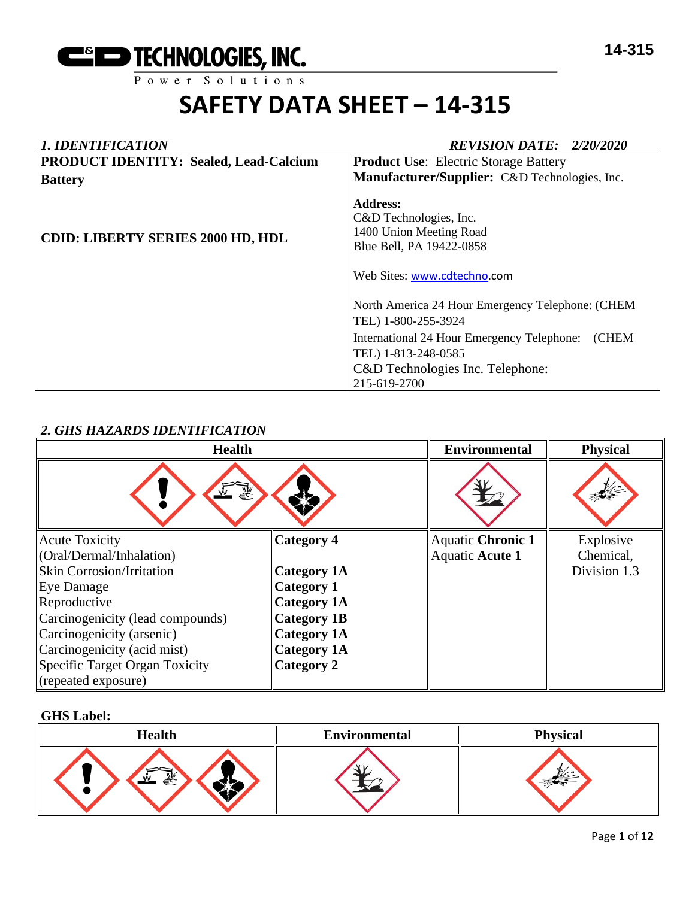

| <b>1. IDENTIFICATION</b>                      | <b>REVISION DATE: 2/20/2020</b>                                                                                                 |
|-----------------------------------------------|---------------------------------------------------------------------------------------------------------------------------------|
| <b>PRODUCT IDENTITY: Sealed, Lead-Calcium</b> | <b>Product Use:</b> Electric Storage Battery                                                                                    |
| <b>Battery</b>                                | Manufacturer/Supplier: C&D Technologies, Inc.                                                                                   |
| <b>CDID: LIBERTY SERIES 2000 HD, HDL</b>      | <b>Address:</b><br>C&D Technologies, Inc.<br>1400 Union Meeting Road<br>Blue Bell, PA 19422-0858<br>Web Sites: www.cdtechno.com |
|                                               | North America 24 Hour Emergency Telephone: (CHEM                                                                                |
|                                               | TEL) 1-800-255-3924                                                                                                             |
|                                               | (CHEM<br>International 24 Hour Emergency Telephone:                                                                             |
|                                               | TEL) 1-813-248-0585                                                                                                             |
|                                               | C&D Technologies Inc. Telephone:                                                                                                |
|                                               | 215-619-2700                                                                                                                    |

# *2. GHS HAZARDS IDENTIFICATION*

| <b>Health</b>                    |                    | <b>Environmental</b> | <b>Physical</b> |
|----------------------------------|--------------------|----------------------|-----------------|
| 窬<br>$\mathbf{v}$                |                    |                      |                 |
| <b>Acute Toxicity</b>            | <b>Category 4</b>  | Aquatic Chronic 1    | Explosive       |
| (Oral/Dermal/Inhalation)         |                    | Aquatic Acute 1      | Chemical,       |
| <b>Skin Corrosion/Irritation</b> | <b>Category 1A</b> |                      | Division 1.3    |
| Eye Damage                       | <b>Category 1</b>  |                      |                 |
| Reproductive                     | <b>Category 1A</b> |                      |                 |
| Carcinogenicity (lead compounds) | <b>Category 1B</b> |                      |                 |
| Carcinogenicity (arsenic)        | <b>Category 1A</b> |                      |                 |
| Carcinogenicity (acid mist)      | Category 1A        |                      |                 |
| Specific Target Organ Toxicity   | <b>Category 2</b>  |                      |                 |
| (repeated exposure)              |                    |                      |                 |

#### **GHS Label:**

| <b>Health</b>    | <b>Environmental</b> | <b>Physical</b> |
|------------------|----------------------|-----------------|
| <b>WIN</b><br>€े |                      |                 |

### Page **1** of **12**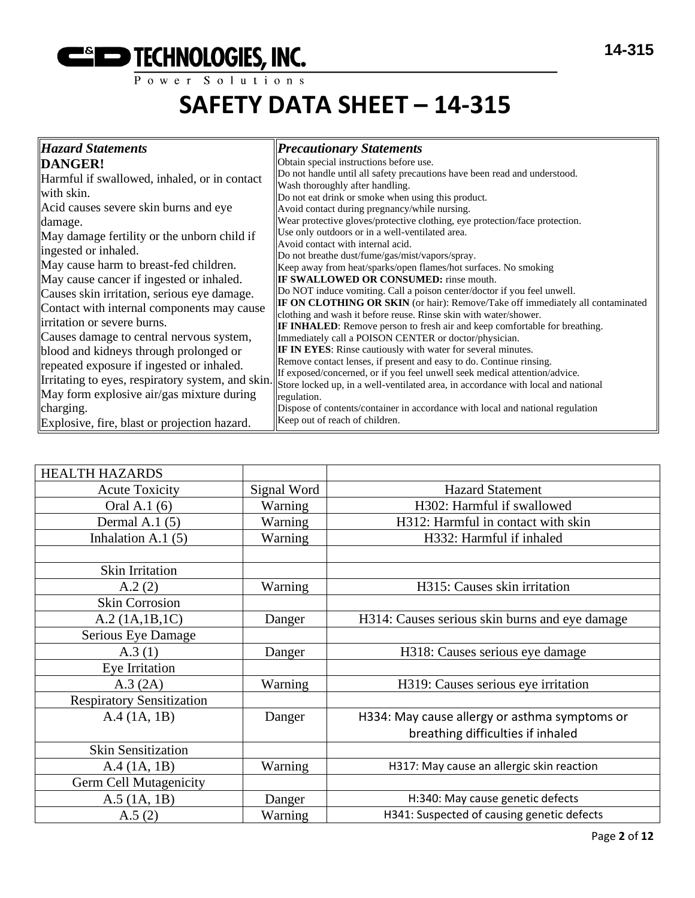# **EXECUTE THE THE TECHNOLOGIES, INC.**

# **SAFETY DATA SHEET – 14-315**

| <b>Hazard Statements</b>                          | <b>Precautionary Statements</b>                                                                                                                           |
|---------------------------------------------------|-----------------------------------------------------------------------------------------------------------------------------------------------------------|
| DANGER!                                           | Obtain special instructions before use.                                                                                                                   |
| Harmful if swallowed, inhaled, or in contact      | Do not handle until all safety precautions have been read and understood.                                                                                 |
| with skin.                                        | Wash thoroughly after handling.<br>Do not eat drink or smoke when using this product.                                                                     |
| Acid causes severe skin burns and eye             | Avoid contact during pregnancy/while nursing.                                                                                                             |
| damage.                                           | Wear protective gloves/protective clothing, eye protection/face protection.                                                                               |
| May damage fertility or the unborn child if       | Use only outdoors or in a well-ventilated area.<br>Avoid contact with internal acid.                                                                      |
| ingested or inhaled.                              | Do not breathe dust/fume/gas/mist/vapors/spray.                                                                                                           |
| May cause harm to breast-fed children.            | Keep away from heat/sparks/open flames/hot surfaces. No smoking                                                                                           |
| May cause cancer if ingested or inhaled.          | <b>IF SWALLOWED OR CONSUMED:</b> rinse mouth.                                                                                                             |
| Causes skin irritation, serious eye damage.       | Do NOT induce vomiting. Call a poison center/doctor if you feel unwell.                                                                                   |
| Contact with internal components may cause        | <b>IF ON CLOTHING OR SKIN</b> (or hair): Remove/Take off immediately all contaminated<br>clothing and wash it before reuse. Rinse skin with water/shower. |
| irritation or severe burns.                       | <b>IF INHALED:</b> Remove person to fresh air and keep comfortable for breathing.                                                                         |
| Causes damage to central nervous system,          | Immediately call a POISON CENTER or doctor/physician.                                                                                                     |
| blood and kidneys through prolonged or            | <b>IF IN EYES:</b> Rinse cautiously with water for several minutes.                                                                                       |
| repeated exposure if ingested or inhaled.         | Remove contact lenses, if present and easy to do. Continue rinsing.<br>If exposed/concerned, or if you feel unwell seek medical attention/advice.         |
| Irritating to eyes, respiratory system, and skin. | Store locked up, in a well-ventilated area, in accordance with local and national                                                                         |
| May form explosive air/gas mixture during         | regulation.                                                                                                                                               |
| charging.                                         | Dispose of contents/container in accordance with local and national regulation                                                                            |
| Explosive, fire, blast or projection hazard.      | Keep out of reach of children.                                                                                                                            |

| <b>HEALTH HAZARDS</b>            |             |                                                |
|----------------------------------|-------------|------------------------------------------------|
| <b>Acute Toxicity</b>            | Signal Word | <b>Hazard Statement</b>                        |
| Oral A.1 (6)                     | Warning     | H302: Harmful if swallowed                     |
| Dermal A.1 $(5)$                 | Warning     | H312: Harmful in contact with skin             |
| Inhalation A.1 $(5)$             | Warning     | H332: Harmful if inhaled                       |
|                                  |             |                                                |
| Skin Irritation                  |             |                                                |
| A.2(2)                           | Warning     | H315: Causes skin irritation                   |
| <b>Skin Corrosion</b>            |             |                                                |
| A.2 (1A.1B.1C)                   | Danger      | H314: Causes serious skin burns and eye damage |
| Serious Eye Damage               |             |                                                |
| A.3(1)                           | Danger      | H318: Causes serious eye damage                |
| Eye Irritation                   |             |                                                |
| A.3 (2A)                         | Warning     | H319: Causes serious eye irritation            |
| <b>Respiratory Sensitization</b> |             |                                                |
| A.4 (1A, 1B)                     | Danger      | H334: May cause allergy or asthma symptoms or  |
|                                  |             | breathing difficulties if inhaled              |
| <b>Skin Sensitization</b>        |             |                                                |
| A.4 (1A, 1B)                     | Warning     | H317: May cause an allergic skin reaction      |
| Germ Cell Mutagenicity           |             |                                                |
| $A.5$ (1A, 1B)                   | Danger      | H:340: May cause genetic defects               |
| A.5(2)                           | Warning     | H341: Suspected of causing genetic defects     |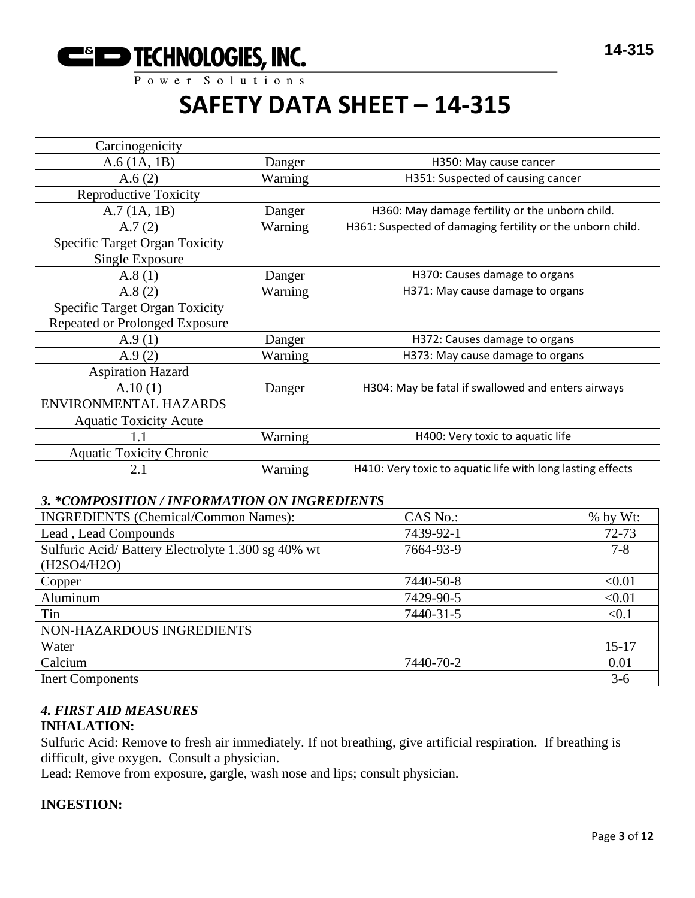

| Carcinogenicity                       |         |                                                            |
|---------------------------------------|---------|------------------------------------------------------------|
| $A.6$ (1A, 1B)                        | Danger  | H350: May cause cancer                                     |
| A.6(2)                                | Warning | H351: Suspected of causing cancer                          |
| <b>Reproductive Toxicity</b>          |         |                                                            |
| A.7(1A, 1B)                           | Danger  | H360: May damage fertility or the unborn child.            |
| A.7(2)                                | Warning | H361: Suspected of damaging fertility or the unborn child. |
| <b>Specific Target Organ Toxicity</b> |         |                                                            |
| Single Exposure                       |         |                                                            |
| A.8(1)                                | Danger  | H370: Causes damage to organs                              |
| A.8(2)                                | Warning | H371: May cause damage to organs                           |
| <b>Specific Target Organ Toxicity</b> |         |                                                            |
| <b>Repeated or Prolonged Exposure</b> |         |                                                            |
| A.9(1)                                | Danger  | H372: Causes damage to organs                              |
| A.9(2)                                | Warning | H373: May cause damage to organs                           |
| <b>Aspiration Hazard</b>              |         |                                                            |
| A.10(1)                               | Danger  | H304: May be fatal if swallowed and enters airways         |
| ENVIRONMENTAL HAZARDS                 |         |                                                            |
| <b>Aquatic Toxicity Acute</b>         |         |                                                            |
| 1.1                                   | Warning | H400: Very toxic to aquatic life                           |
| <b>Aquatic Toxicity Chronic</b>       |         |                                                            |
| 2.1                                   | Warning | H410: Very toxic to aquatic life with long lasting effects |

# *3. \*COMPOSITION / INFORMATION ON INGREDIENTS*

| <b>INGREDIENTS</b> (Chemical/Common Names):       | CAS No.:  | $%$ by Wt: |
|---------------------------------------------------|-----------|------------|
| Lead, Lead Compounds                              | 7439-92-1 | $72 - 73$  |
| Sulfuric Acid/Battery Electrolyte 1.300 sg 40% wt | 7664-93-9 | $7 - 8$    |
| (H2SO4/H2O)                                       |           |            |
| Copper                                            | 7440-50-8 | < 0.01     |
| Aluminum                                          | 7429-90-5 | < 0.01     |
| Tin                                               | 7440-31-5 | < 0.1      |
| NON-HAZARDOUS INGREDIENTS                         |           |            |
| Water                                             |           | $15 - 17$  |
| Calcium                                           | 7440-70-2 | 0.01       |
| <b>Inert Components</b>                           |           | $3-6$      |

# *4. FIRST AID MEASURES*

# **INHALATION:**

Sulfuric Acid: Remove to fresh air immediately. If not breathing, give artificial respiration. If breathing is difficult, give oxygen. Consult a physician.

Lead: Remove from exposure, gargle, wash nose and lips; consult physician.

# **INGESTION:**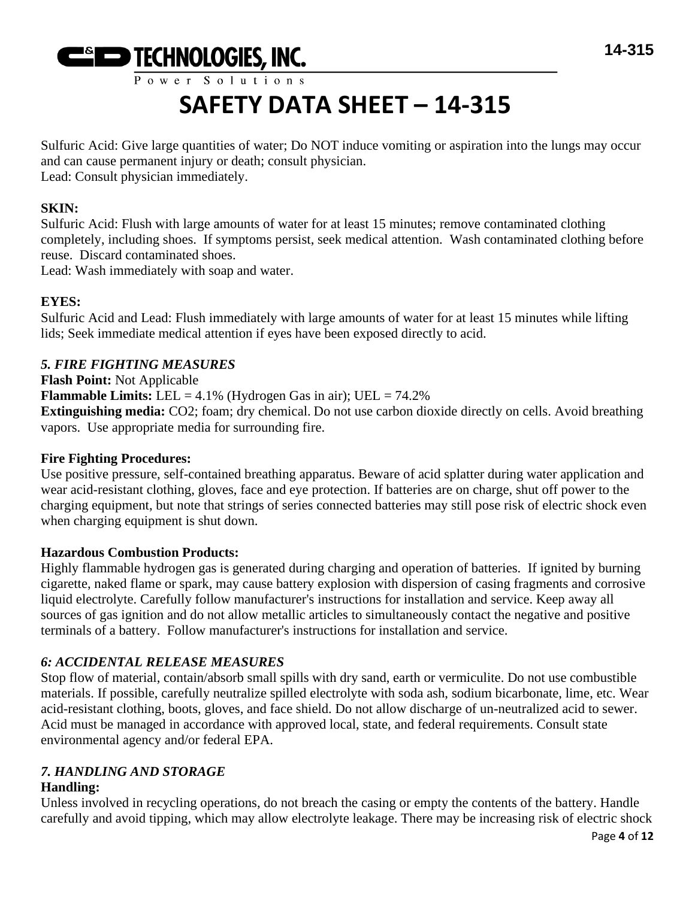

# Power Solutions

# **SAFETY DATA SHEET – 14-315**

Sulfuric Acid: Give large quantities of water; Do NOT induce vomiting or aspiration into the lungs may occur and can cause permanent injury or death; consult physician. Lead: Consult physician immediately.

### **SKIN:**

Sulfuric Acid: Flush with large amounts of water for at least 15 minutes; remove contaminated clothing completely, including shoes. If symptoms persist, seek medical attention. Wash contaminated clothing before reuse. Discard contaminated shoes.

Lead: Wash immediately with soap and water.

# **EYES:**

Sulfuric Acid and Lead: Flush immediately with large amounts of water for at least 15 minutes while lifting lids; Seek immediate medical attention if eyes have been exposed directly to acid.

# *5. FIRE FIGHTING MEASURES*

**Flash Point:** Not Applicable

**Flammable Limits:** LEL =  $4.1\%$  (Hydrogen Gas in air); UEL =  $74.2\%$ **Extinguishing media:** CO2; foam; dry chemical. Do not use carbon dioxide directly on cells. Avoid breathing vapors. Use appropriate media for surrounding fire.

# **Fire Fighting Procedures:**

Use positive pressure, self-contained breathing apparatus. Beware of acid splatter during water application and wear acid-resistant clothing, gloves, face and eye protection. If batteries are on charge, shut off power to the charging equipment, but note that strings of series connected batteries may still pose risk of electric shock even when charging equipment is shut down.

# **Hazardous Combustion Products:**

Highly flammable hydrogen gas is generated during charging and operation of batteries. If ignited by burning cigarette, naked flame or spark, may cause battery explosion with dispersion of casing fragments and corrosive liquid electrolyte. Carefully follow manufacturer's instructions for installation and service. Keep away all sources of gas ignition and do not allow metallic articles to simultaneously contact the negative and positive terminals of a battery. Follow manufacturer's instructions for installation and service.

# *6: ACCIDENTAL RELEASE MEASURES*

Stop flow of material, contain/absorb small spills with dry sand, earth or vermiculite. Do not use combustible materials. If possible, carefully neutralize spilled electrolyte with soda ash, sodium bicarbonate, lime, etc. Wear acid-resistant clothing, boots, gloves, and face shield. Do not allow discharge of un-neutralized acid to sewer. Acid must be managed in accordance with approved local, state, and federal requirements. Consult state environmental agency and/or federal EPA.

# *7. HANDLING AND STORAGE*

# **Handling:**

Unless involved in recycling operations, do not breach the casing or empty the contents of the battery. Handle carefully and avoid tipping, which may allow electrolyte leakage. There may be increasing risk of electric shock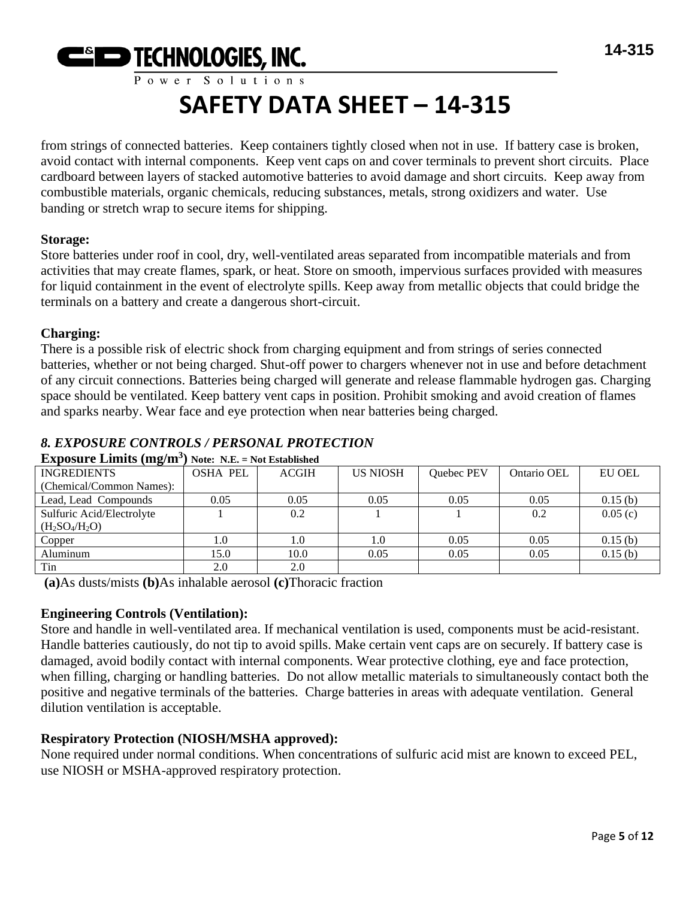

Power Solutions

# **SAFETY DATA SHEET – 14-315**

from strings of connected batteries. Keep containers tightly closed when not in use. If battery case is broken, avoid contact with internal components. Keep vent caps on and cover terminals to prevent short circuits. Place cardboard between layers of stacked automotive batteries to avoid damage and short circuits. Keep away from combustible materials, organic chemicals, reducing substances, metals, strong oxidizers and water. Use banding or stretch wrap to secure items for shipping.

# **Storage:**

Store batteries under roof in cool, dry, well-ventilated areas separated from incompatible materials and from activities that may create flames, spark, or heat. Store on smooth, impervious surfaces provided with measures for liquid containment in the event of electrolyte spills. Keep away from metallic objects that could bridge the terminals on a battery and create a dangerous short-circuit.

# **Charging:**

There is a possible risk of electric shock from charging equipment and from strings of series connected batteries, whether or not being charged. Shut-off power to chargers whenever not in use and before detachment of any circuit connections. Batteries being charged will generate and release flammable hydrogen gas. Charging space should be ventilated. Keep battery vent caps in position. Prohibit smoking and avoid creation of flames and sparks nearby. Wear face and eye protection when near batteries being charged.

# *8. EXPOSURE CONTROLS / PERSONAL PROTECTION*

| Едрозон с Енино (Шели )   | $1100, 130, -110, 130, 1100$ |              |                 |            |             |               |
|---------------------------|------------------------------|--------------|-----------------|------------|-------------|---------------|
| <b>INGREDIENTS</b>        | <b>OSHA PEL</b>              | <b>ACGIH</b> | <b>US NIOSH</b> | Quebec PEV | Ontario OEL | <b>EU OEL</b> |
| (Chemical/Common Names):  |                              |              |                 |            |             |               |
| Lead, Lead Compounds      | 0.05                         | 0.05         | 0.05            | 0.05       | 0.05        | 0.15(b)       |
| Sulfuric Acid/Electrolyte |                              | 0.2          |                 |            | 0.2         | 0.05(c)       |
| $(H_2SO_4/H_2O)$          |                              |              |                 |            |             |               |
| Copper                    | 0.1                          | 1.0          | 1.0             | 0.05       | 0.05        | 0.15(b)       |
| Aluminum                  | 15.0                         | 10.0         | 0.05            | 0.05       | 0.05        | 0.15(b)       |
| Tin                       | 2.0                          | 2.0          |                 |            |             |               |

# **Exposure Limits (mg/m<sup>3</sup> ) Note: N.E. = Not Established**

**(a)**As dusts/mists **(b)**As inhalable aerosol **(c)**Thoracic fraction

# **Engineering Controls (Ventilation):**

Store and handle in well-ventilated area. If mechanical ventilation is used, components must be acid-resistant. Handle batteries cautiously, do not tip to avoid spills. Make certain vent caps are on securely. If battery case is damaged, avoid bodily contact with internal components. Wear protective clothing, eye and face protection, when filling, charging or handling batteries. Do not allow metallic materials to simultaneously contact both the positive and negative terminals of the batteries. Charge batteries in areas with adequate ventilation. General dilution ventilation is acceptable.

# **Respiratory Protection (NIOSH/MSHA approved):**

None required under normal conditions. When concentrations of sulfuric acid mist are known to exceed PEL, use NIOSH or MSHA-approved respiratory protection.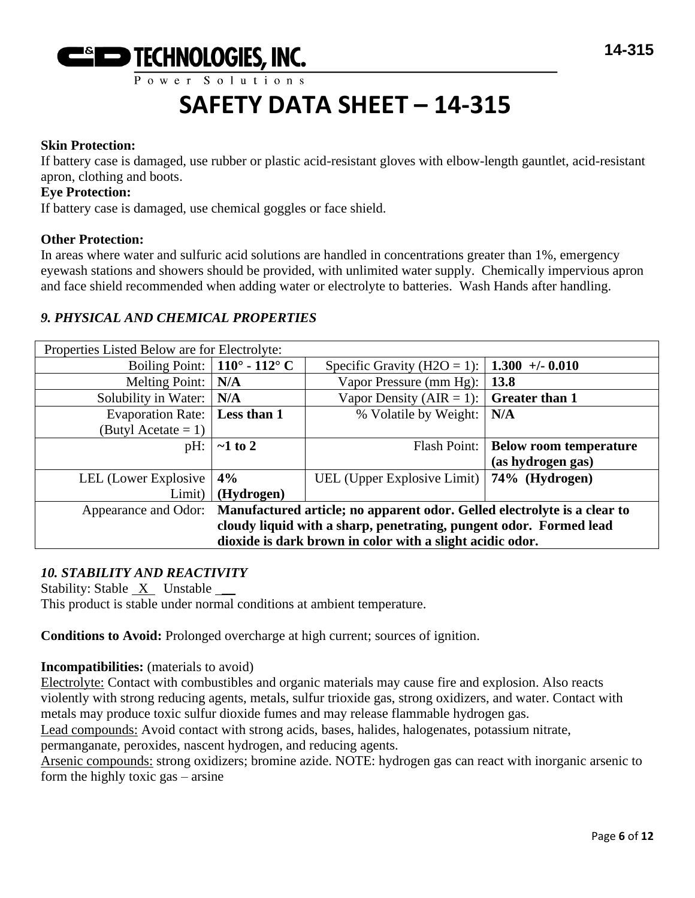

### **Skin Protection:**

If battery case is damaged, use rubber or plastic acid-resistant gloves with elbow-length gauntlet, acid-resistant apron, clothing and boots.

#### **Eye Protection:**

If battery case is damaged, use chemical goggles or face shield.

#### **Other Protection:**

In areas where water and sulfuric acid solutions are handled in concentrations greater than 1%, emergency eyewash stations and showers should be provided, with unlimited water supply. Chemically impervious apron and face shield recommended when adding water or electrolyte to batteries. Wash Hands after handling.

# *9. PHYSICAL AND CHEMICAL PROPERTIES*

| Properties Listed Below are for Electrolyte:                                                  |                                      |                                              |                                       |
|-----------------------------------------------------------------------------------------------|--------------------------------------|----------------------------------------------|---------------------------------------|
|                                                                                               | Boiling Point: $\vert$ 110° - 112° C | Specific Gravity (H2O = 1):                  | $1.300 + 0.010$                       |
| Melting Point:                                                                                | N/A                                  | Vapor Pressure (mm Hg):                      | 13.8                                  |
| Solubility in Water:                                                                          | N/A                                  | Vapor Density (AIR = 1):                     | <b>Greater than 1</b>                 |
| Evaporation Rate:   Less than 1                                                               |                                      | % Volatile by Weight:                        | N/A                                   |
| (Butyl Acetate $= 1$ )                                                                        |                                      |                                              |                                       |
| $pH$ :                                                                                        | $\sim$ 1 to 2                        |                                              | Flash Point:   Below room temperature |
|                                                                                               |                                      |                                              | (as hydrogen gas)                     |
| LEL (Lower Explosive)                                                                         | 4%                                   | UEL (Upper Explosive Limit)   74% (Hydrogen) |                                       |
| Limit)                                                                                        | (Hydrogen)                           |                                              |                                       |
| Appearance and Odor: Manufactured article; no apparent odor. Gelled electrolyte is a clear to |                                      |                                              |                                       |
| cloudy liquid with a sharp, penetrating, pungent odor. Formed lead                            |                                      |                                              |                                       |
| dioxide is dark brown in color with a slight acidic odor.                                     |                                      |                                              |                                       |

# *10. STABILITY AND REACTIVITY*

Stability: Stable  $X$  Unstable  $\_\_\_\$ 

This product is stable under normal conditions at ambient temperature.

**Conditions to Avoid:** Prolonged overcharge at high current; sources of ignition.

#### **Incompatibilities:** (materials to avoid)

Electrolyte: Contact with combustibles and organic materials may cause fire and explosion. Also reacts violently with strong reducing agents, metals, sulfur trioxide gas, strong oxidizers, and water. Contact with metals may produce toxic sulfur dioxide fumes and may release flammable hydrogen gas.

Lead compounds: Avoid contact with strong acids, bases, halides, halogenates, potassium nitrate,

permanganate, peroxides, nascent hydrogen, and reducing agents.

Arsenic compounds: strong oxidizers; bromine azide. NOTE: hydrogen gas can react with inorganic arsenic to form the highly toxic gas – arsine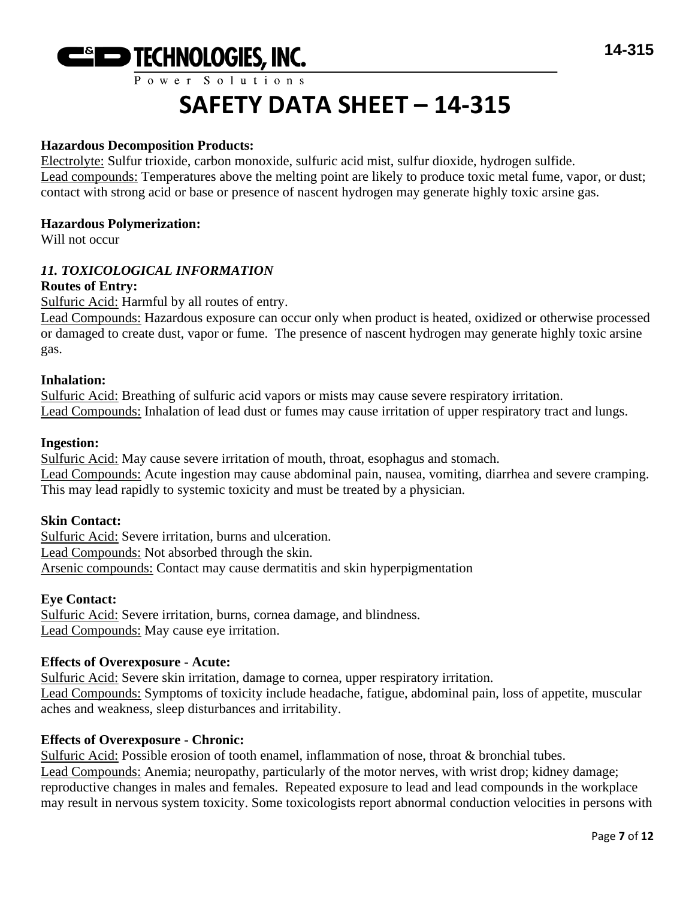

#### **Hazardous Decomposition Products:**

Electrolyte: Sulfur trioxide, carbon monoxide, sulfuric acid mist, sulfur dioxide, hydrogen sulfide. Lead compounds: Temperatures above the melting point are likely to produce toxic metal fume, vapor, or dust; contact with strong acid or base or presence of nascent hydrogen may generate highly toxic arsine gas.

#### **Hazardous Polymerization:**

Will not occur

### *11. TOXICOLOGICAL INFORMATION*

#### **Routes of Entry:**

Sulfuric Acid: Harmful by all routes of entry.

Lead Compounds: Hazardous exposure can occur only when product is heated, oxidized or otherwise processed or damaged to create dust, vapor or fume. The presence of nascent hydrogen may generate highly toxic arsine gas.

#### **Inhalation:**

Sulfuric Acid: Breathing of sulfuric acid vapors or mists may cause severe respiratory irritation. Lead Compounds: Inhalation of lead dust or fumes may cause irritation of upper respiratory tract and lungs.

#### **Ingestion:**

Sulfuric Acid: May cause severe irritation of mouth, throat, esophagus and stomach. Lead Compounds: Acute ingestion may cause abdominal pain, nausea, vomiting, diarrhea and severe cramping. This may lead rapidly to systemic toxicity and must be treated by a physician.

#### **Skin Contact:**

Sulfuric Acid: Severe irritation, burns and ulceration. Lead Compounds: Not absorbed through the skin. Arsenic compounds: Contact may cause dermatitis and skin hyperpigmentation

#### **Eye Contact:**

Sulfuric Acid: Severe irritation, burns, cornea damage, and blindness. Lead Compounds: May cause eye irritation.

#### **Effects of Overexposure - Acute:**

Sulfuric Acid: Severe skin irritation, damage to cornea, upper respiratory irritation. Lead Compounds: Symptoms of toxicity include headache, fatigue, abdominal pain, loss of appetite, muscular aches and weakness, sleep disturbances and irritability.

#### **Effects of Overexposure - Chronic:**

Sulfuric Acid: Possible erosion of tooth enamel, inflammation of nose, throat & bronchial tubes. Lead Compounds: Anemia; neuropathy, particularly of the motor nerves, with wrist drop; kidney damage; reproductive changes in males and females. Repeated exposure to lead and lead compounds in the workplace may result in nervous system toxicity. Some toxicologists report abnormal conduction velocities in persons with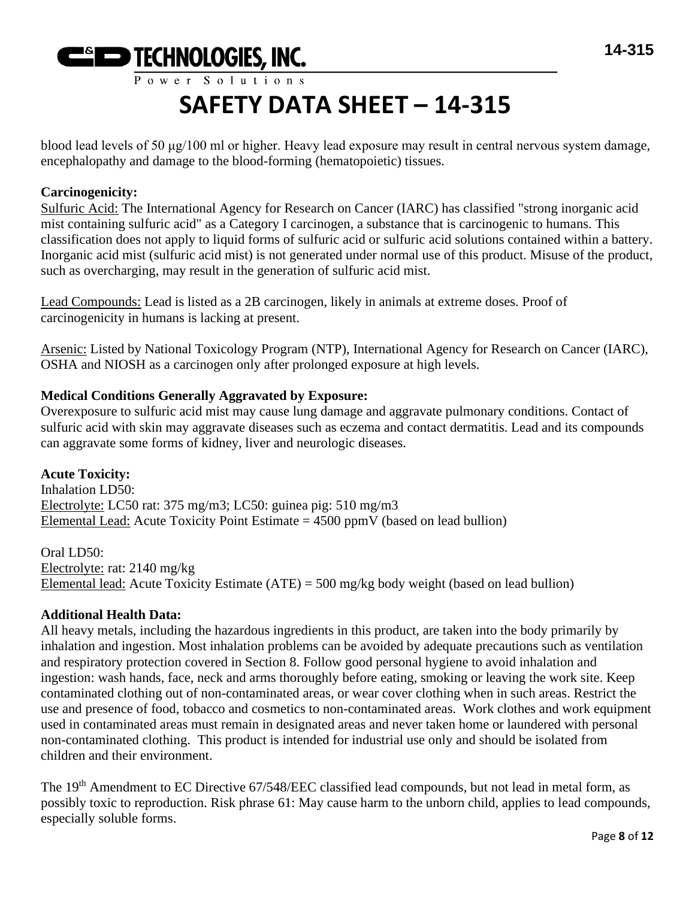

blood lead levels of 50 μg/100 ml or higher. Heavy lead exposure may result in central nervous system damage, encephalopathy and damage to the blood-forming (hematopoietic) tissues.

# **Carcinogenicity:**

Sulfuric Acid: The International Agency for Research on Cancer (IARC) has classified "strong inorganic acid mist containing sulfuric acid" as a Category I carcinogen, a substance that is carcinogenic to humans. This classification does not apply to liquid forms of sulfuric acid or sulfuric acid solutions contained within a battery. Inorganic acid mist (sulfuric acid mist) is not generated under normal use of this product. Misuse of the product, such as overcharging, may result in the generation of sulfuric acid mist.

Lead Compounds: Lead is listed as a 2B carcinogen, likely in animals at extreme doses. Proof of carcinogenicity in humans is lacking at present.

Arsenic: Listed by National Toxicology Program (NTP), International Agency for Research on Cancer (IARC), OSHA and NIOSH as a carcinogen only after prolonged exposure at high levels.

# **Medical Conditions Generally Aggravated by Exposure:**

Overexposure to sulfuric acid mist may cause lung damage and aggravate pulmonary conditions. Contact of sulfuric acid with skin may aggravate diseases such as eczema and contact dermatitis. Lead and its compounds can aggravate some forms of kidney, liver and neurologic diseases.

**Acute Toxicity:** Inhalation LD50: Electrolyte: LC50 rat: 375 mg/m3; LC50: guinea pig: 510 mg/m3 Elemental Lead: Acute Toxicity Point Estimate  $= 4500$  ppmV (based on lead bullion)

Oral LD50: Electrolyte: rat: 2140 mg/kg Elemental lead: Acute Toxicity Estimate (ATE) = 500 mg/kg body weight (based on lead bullion)

# **Additional Health Data:**

All heavy metals, including the hazardous ingredients in this product, are taken into the body primarily by inhalation and ingestion. Most inhalation problems can be avoided by adequate precautions such as ventilation and respiratory protection covered in Section 8. Follow good personal hygiene to avoid inhalation and ingestion: wash hands, face, neck and arms thoroughly before eating, smoking or leaving the work site. Keep contaminated clothing out of non-contaminated areas, or wear cover clothing when in such areas. Restrict the use and presence of food, tobacco and cosmetics to non-contaminated areas. Work clothes and work equipment used in contaminated areas must remain in designated areas and never taken home or laundered with personal non-contaminated clothing. This product is intended for industrial use only and should be isolated from children and their environment.

The 19<sup>th</sup> Amendment to EC Directive 67/548/EEC classified lead compounds, but not lead in metal form, as possibly toxic to reproduction. Risk phrase 61: May cause harm to the unborn child, applies to lead compounds, especially soluble forms.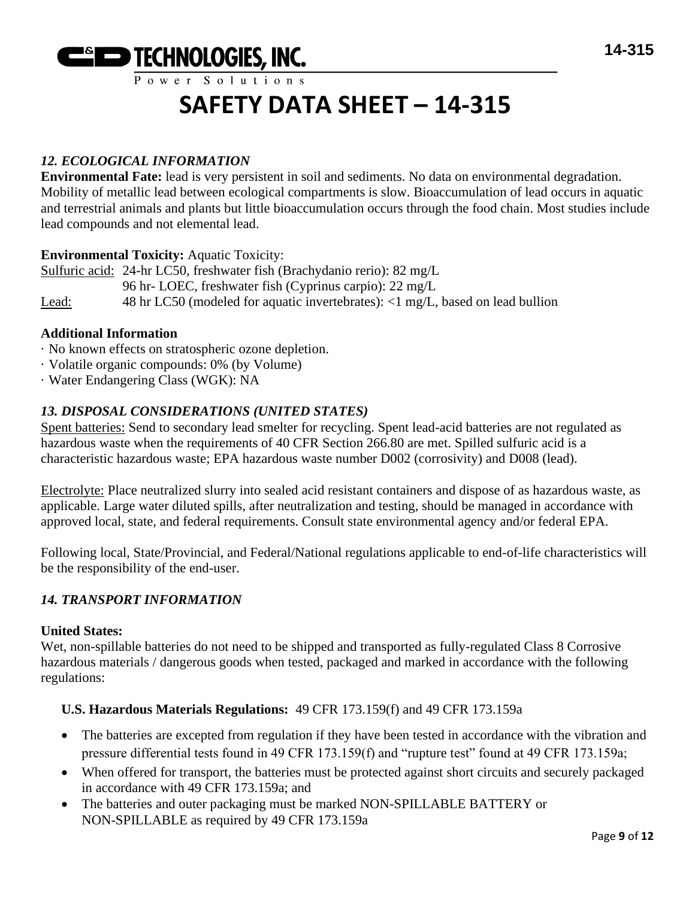

# *12. ECOLOGICAL INFORMATION*

**Environmental Fate:** lead is very persistent in soil and sediments. No data on environmental degradation. Mobility of metallic lead between ecological compartments is slow. Bioaccumulation of lead occurs in aquatic and terrestrial animals and plants but little bioaccumulation occurs through the food chain. Most studies include lead compounds and not elemental lead.

### **Environmental Toxicity:** Aquatic Toxicity:

Sulfuric acid: 24-hr LC50, freshwater fish (Brachydanio rerio): 82 mg/L 96 hr- LOEC, freshwater fish (Cyprinus carpio): 22 mg/L Lead: 48 hr LC50 (modeled for aquatic invertebrates): <1 mg/L, based on lead bullion

### **Additional Information**

- · No known effects on stratospheric ozone depletion.
- · Volatile organic compounds: 0% (by Volume)
- · Water Endangering Class (WGK): NA

# *13. DISPOSAL CONSIDERATIONS (UNITED STATES)*

Spent batteries: Send to secondary lead smelter for recycling. Spent lead-acid batteries are not regulated as hazardous waste when the requirements of 40 CFR Section 266.80 are met. Spilled sulfuric acid is a characteristic hazardous waste; EPA hazardous waste number D002 (corrosivity) and D008 (lead).

Electrolyte: Place neutralized slurry into sealed acid resistant containers and dispose of as hazardous waste, as applicable. Large water diluted spills, after neutralization and testing, should be managed in accordance with approved local, state, and federal requirements. Consult state environmental agency and/or federal EPA.

Following local, State/Provincial, and Federal/National regulations applicable to end-of-life characteristics will be the responsibility of the end-user.

# *14. TRANSPORT INFORMATION*

#### **United States:**

Wet, non-spillable batteries do not need to be shipped and transported as fully-regulated Class 8 Corrosive hazardous materials / dangerous goods when tested, packaged and marked in accordance with the following regulations:

#### **U.S. Hazardous Materials Regulations:** 49 CFR 173.159(f) and 49 CFR 173.159a

- The batteries are excepted from regulation if they have been tested in accordance with the vibration and pressure differential tests found in 49 CFR 173.159(f) and "rupture test" found at 49 CFR 173.159a;
- When offered for transport, the batteries must be protected against short circuits and securely packaged in accordance with 49 CFR 173.159a; and
- The batteries and outer packaging must be marked NON-SPILLABLE BATTERY or NON-SPILLABLE as required by 49 CFR 173.159a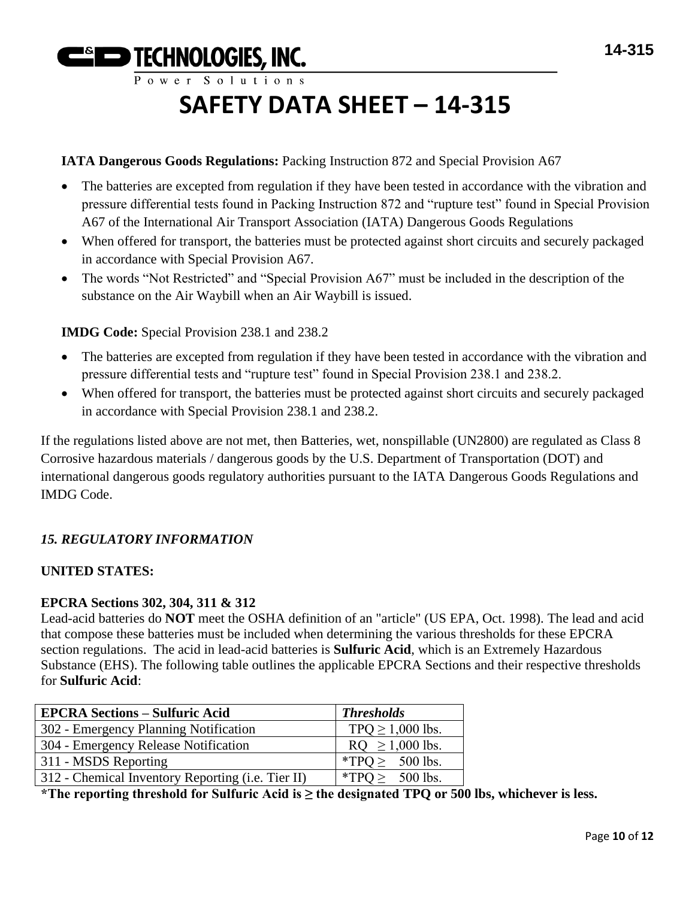**ESED TECHNOLOGIES, INC.** Power Solutions

# **SAFETY DATA SHEET – 14-315**

# **IATA Dangerous Goods Regulations:** Packing Instruction 872 and Special Provision A67

- The batteries are excepted from regulation if they have been tested in accordance with the vibration and pressure differential tests found in Packing Instruction 872 and "rupture test" found in Special Provision A67 of the International Air Transport Association (IATA) Dangerous Goods Regulations
- When offered for transport, the batteries must be protected against short circuits and securely packaged in accordance with Special Provision A67.
- The words "Not Restricted" and "Special Provision A67" must be included in the description of the substance on the Air Waybill when an Air Waybill is issued.

# **IMDG Code:** Special Provision 238.1 and 238.2

- The batteries are excepted from regulation if they have been tested in accordance with the vibration and pressure differential tests and "rupture test" found in Special Provision 238.1 and 238.2.
- When offered for transport, the batteries must be protected against short circuits and securely packaged in accordance with Special Provision 238.1 and 238.2.

If the regulations listed above are not met, then Batteries, wet, nonspillable (UN2800) are regulated as Class 8 Corrosive hazardous materials / dangerous goods by the U.S. Department of Transportation (DOT) and international dangerous goods regulatory authorities pursuant to the IATA Dangerous Goods Regulations and IMDG Code.

# *15. REGULATORY INFORMATION*

# **UNITED STATES:**

#### **EPCRA Sections 302, 304, 311 & 312**

Lead-acid batteries do **NOT** meet the OSHA definition of an "article" (US EPA, Oct. 1998). The lead and acid that compose these batteries must be included when determining the various thresholds for these EPCRA section regulations. The acid in lead-acid batteries is **Sulfuric Acid**, which is an Extremely Hazardous Substance (EHS). The following table outlines the applicable EPCRA Sections and their respective thresholds for **Sulfuric Acid**:

| <b>EPCRA Sections – Sulfuric Acid</b>             | <b>Thresholds</b>    |
|---------------------------------------------------|----------------------|
| 302 - Emergency Planning Notification             | $TPQ \ge 1,000$ lbs. |
| 304 - Emergency Release Notification              | $RQ \ge 1,000$ lbs.  |
| 311 - MSDS Reporting                              | *TPQ $\geq$ 500 lbs. |
| 312 - Chemical Inventory Reporting (i.e. Tier II) | *TPQ $\geq$ 500 lbs. |

**\*The reporting threshold for Sulfuric Acid is ≥ the designated TPQ or 500 lbs, whichever is less.**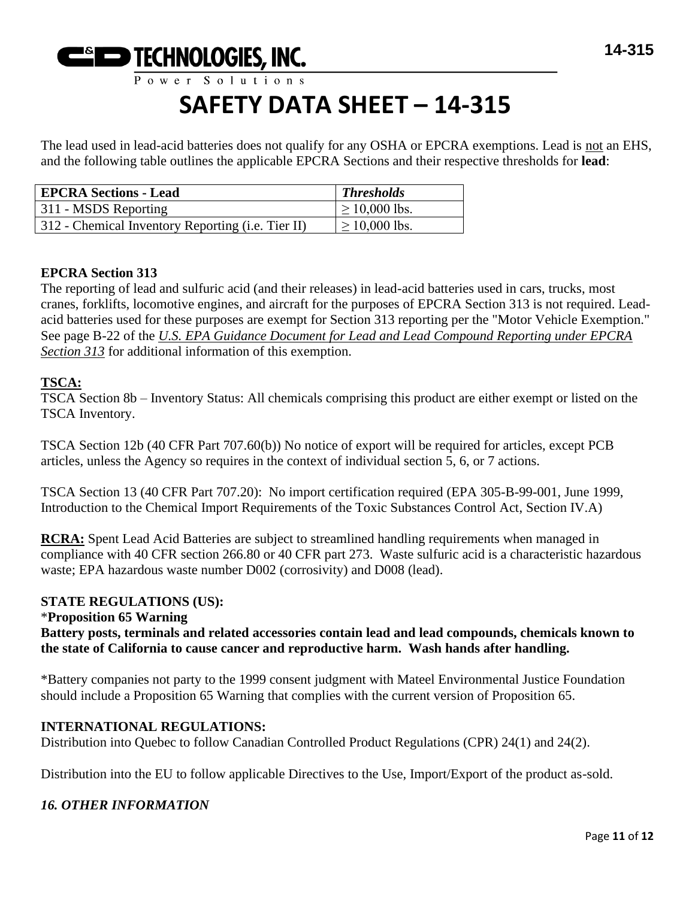

The lead used in lead-acid batteries does not qualify for any OSHA or EPCRA exemptions. Lead is not an EHS, and the following table outlines the applicable EPCRA Sections and their respective thresholds for **lead**:

| <b>EPCRA Sections - Lead</b>                      | <b>Thresholds</b>  |
|---------------------------------------------------|--------------------|
| 311 - MSDS Reporting                              | $\geq$ 10,000 lbs. |
| 312 - Chemical Inventory Reporting (i.e. Tier II) | $\geq 10,000$ lbs. |

# **EPCRA Section 313**

The reporting of lead and sulfuric acid (and their releases) in lead-acid batteries used in cars, trucks, most cranes, forklifts, locomotive engines, and aircraft for the purposes of EPCRA Section 313 is not required. Leadacid batteries used for these purposes are exempt for Section 313 reporting per the "Motor Vehicle Exemption." See page B-22 of the *U.S. EPA Guidance Document for Lead and Lead Compound Reporting under EPCRA Section 313* for additional information of this exemption.

# **TSCA:**

TSCA Section 8b – Inventory Status: All chemicals comprising this product are either exempt or listed on the TSCA Inventory.

TSCA Section 12b (40 CFR Part 707.60(b)) No notice of export will be required for articles, except PCB articles, unless the Agency so requires in the context of individual section 5, 6, or 7 actions.

TSCA Section 13 (40 CFR Part 707.20): No import certification required (EPA 305-B-99-001, June 1999, Introduction to the Chemical Import Requirements of the Toxic Substances Control Act, Section IV.A)

**RCRA:** Spent Lead Acid Batteries are subject to streamlined handling requirements when managed in compliance with 40 CFR section 266.80 or 40 CFR part 273. Waste sulfuric acid is a characteristic hazardous waste; EPA hazardous waste number D002 (corrosivity) and D008 (lead).

# **STATE REGULATIONS (US):**

### \***Proposition 65 Warning Battery posts, terminals and related accessories contain lead and lead compounds, chemicals known to the state of California to cause cancer and reproductive harm. Wash hands after handling.**

\*Battery companies not party to the 1999 consent judgment with Mateel Environmental Justice Foundation should include a Proposition 65 Warning that complies with the current version of Proposition 65.

# **INTERNATIONAL REGULATIONS:**

Distribution into Quebec to follow Canadian Controlled Product Regulations (CPR) 24(1) and 24(2).

Distribution into the EU to follow applicable Directives to the Use, Import/Export of the product as-sold.

# *16. OTHER INFORMATION*